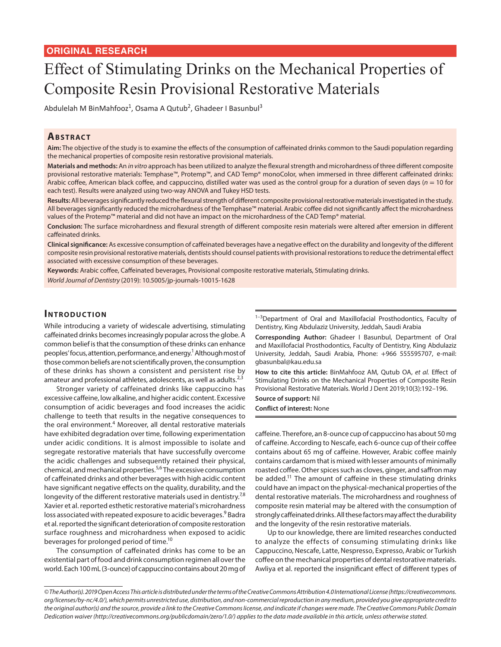# Effect of Stimulating Drinks on the Mechanical Properties of Composite Resin Provisional Restorative Materials

Abdulelah M BinMahfooz<sup>1</sup>, Osama A Qutub<sup>2</sup>, Ghadeer I Basunbul<sup>3</sup>

## **ABSTRACT**

**Aim:** The objective of the study is to examine the effects of the consumption of caffeinated drinks common to the Saudi population regarding the mechanical properties of composite resin restorative provisional materials.

**Materials and methods:** An *in vitro* approach has been utilized to analyze the flexural strength and microhardness of three different composite provisional restorative materials: Temphase™, Protemp™, and CAD Temp® monoColor, when immersed in three different caffeinated drinks: Arabic coffee, American black coffee, and cappuccino, distilled water was used as the control group for a duration of seven days (*n* = 10 for each test). Results were analyzed using two-way ANOVA and Tukey HSD tests.

**Results:** All beverages significantly reduced the flexural strength of different composite provisional restorative materials investigated in the study. All beverages significantly reduced the microhardness of the Temphase™ material. Arabic coffee did not significantly affect the microhardness values of the Protemp™ material and did not have an impact on the microhardness of the CAD Temp® material.

**Conclusion:** The surface microhardness and flexural strength of different composite resin materials were altered after emersion in different caffeinated drinks.

**Clinical significance:** As excessive consumption of caffeinated beverages have a negative effect on the durability and longevity of the different composite resin provisional restorative materials, dentists should counsel patients with provisional restorations to reduce the detrimental effect associated with excessive consumption of these beverages.

**Keywords:** Arabic coffee, Caffeinated beverages, Provisional composite restorative materials, Stimulating drinks.

*World Journal of Dentistry* (2019): 10.5005/jp-journals-10015-1628

## **INTRODUCTION**

While introducing a variety of widescale advertising, stimulating caffeinated drinks becomes increasingly popular across the globe. A common belief is that the consumption of these drinks can enhance peoples' focus, attention, performance, and energy.<sup>1</sup> Although most of those common beliefs are not scientifically proven, the consumption of these drinks has shown a consistent and persistent rise by amateur and professional athletes, adolescents, as well as adults.<sup>2,3</sup>

Stronger variety of caffeinated drinks like cappuccino has excessive caffeine, low alkaline, and higher acidic content. Excessive consumption of acidic beverages and food increases the acidic challenge to teeth that results in the negative consequences to the oral environment.<sup>4</sup> Moreover, all dental restorative materials have exhibited degradation over time, following experimentation under acidic conditions. It is almost impossible to isolate and segregate restorative materials that have successfully overcome the acidic challenges and subsequently retained their physical, chemical, and mechanical properties.<sup>5,6</sup> The excessive consumption of caffeinated drinks and other beverages with high acidic content have significant negative effects on the quality, durability, and the longevity of the different restorative materials used in dentistry.<sup>7,8</sup> Xavier et al. reported esthetic restorative material's microhardness loss associated with repeated exposure to acidic beverages.<sup>9</sup> Badra et al. reported the significant deterioration of composite restoration surface roughness and microhardness when exposed to acidic beverages for prolonged period of time.<sup>10</sup>

The consumption of caffeinated drinks has come to be an existential part of food and drink consumption regimen all over the world. Each 100 mL (3-ounce) of cappuccino contains about 20 mg of <sup>1-3</sup>Department of Oral and Maxillofacial Prosthodontics, Faculty of Dentistry, King Abdulaziz University, Jeddah, Saudi Arabia

**Corresponding Author:** Ghadeer I Basunbul, Department of Oral and Maxillofacial Prosthodontics, Faculty of Dentistry, King Abdulaziz University, Jeddah, Saudi Arabia, Phone: +966 555595707, e-mail: gbasunbal@kau.edu.sa

**How to cite this article:** BinMahfooz AM, Qutub OA, *et al.* Effect of Stimulating Drinks on the Mechanical Properties of Composite Resin Provisional Restorative Materials. World J Dent 2019;10(3):192–196.

**Source of support:** Nil **Conflict of interest:** None

caffeine. Therefore, an 8-ounce cup of cappuccino has about 50 mg of caffeine. According to Nescafe, each 6-ounce cup of their coffee contains about 65 mg of caffeine. However, Arabic coffee mainly contains cardamom that is mixed with lesser amounts of minimally roasted coffee. Other spices such as cloves, ginger, and saffron may be added.<sup>11</sup> The amount of caffeine in these stimulating drinks could have an impact on the physical-mechanical properties of the dental restorative materials. The microhardness and roughness of composite resin material may be altered with the consumption of strongly caffeinated drinks. All these factors may affect the durability and the longevity of the resin restorative materials.

Up to our knowledge, there are limited researches conducted to analyze the effects of consuming stimulating drinks like Cappuccino, Nescafe, Latte, Nespresso, Expresso, Arabic or Turkish coffee on the mechanical properties of dental restorative materials. Awliya et al. reported the insignificant effect of different types of

*<sup>©</sup> The Author(s). 2019 Open Access This article is distributed under the terms of the Creative Commons Attribution 4.0 International License (https://creativecommons. org/licenses/by-nc/4.0/), which permits unrestricted use, distribution, and non-commercial reproduction in any medium, provided you give appropriate credit to the original author(s) and the source, provide a link to the Creative Commons license, and indicate if changes were made. The Creative Commons Public Domain Dedication waiver (http://creativecommons.org/publicdomain/zero/1.0/) applies to the data made available in this article, unless otherwise stated.*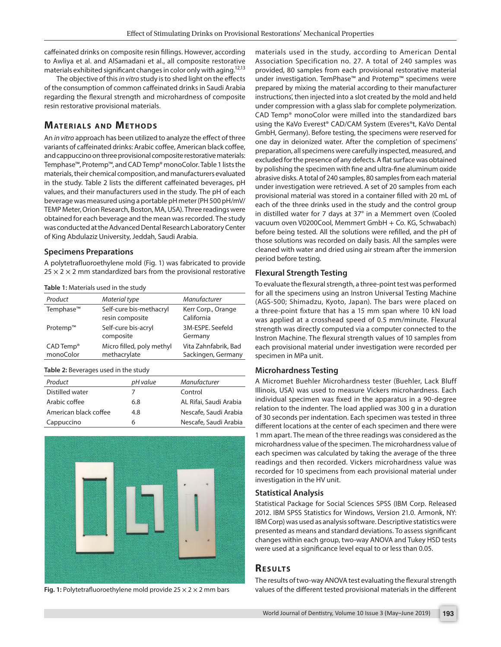caffeinated drinks on composite resin fillings. However, according to Awliya et al. and AlSamadani et al., all composite restorative materials exhibited significant changes in color only with aging.<sup>12,13</sup>

The objective of this *in vitro* study is to shed light on the effects of the consumption of common caffeinated drinks in Saudi Arabia regarding the flexural strength and microhardness of composite resin restorative provisional materials.

# **MATERIALS AND METHODS**

An *in vitro* approach has been utilized to analyze the effect of three variants of caffeinated drinks: Arabic coffee, American black coffee, and cappuccino on three provisional composite restorative materials: Temphase™, Protemp™, and CAD Temp® monoColor. Table 1 lists the materials, their chemical composition, and manufacturers evaluated in the study. Table 2 lists the different caffeinated beverages, pH values, and their manufacturers used in the study. The pH of each beverage was measured using a portable pH meter (PH 500 pH/mV/ TEMP Meter, Orion Research, Boston, MA, USA). Three readings were obtained for each beverage and the mean was recorded. The study was conducted at the Advanced Dental Research Laboratory Center of King Abdulaziz University, Jeddah, Saudi Arabia.

#### **Specimens Preparations**

A polytetrafluoroethylene mold (Fig. 1) was fabricated to provide  $25 \times 2 \times 2$  mm standardized bars from the provisional restorative

#### **Table 1:** Materials used in the study

| Product                            | Material type                              | Manufacturer                               |
|------------------------------------|--------------------------------------------|--------------------------------------------|
| Temphase™                          | Self-cure bis-methacryl<br>resin composite | Kerr Corp., Orange<br>California           |
| Protemp™                           | Self-cure bis-acryl<br>composite           | 3M-ESPE. Seefeld<br>Germany                |
| CAD Temp <sup>®</sup><br>monoColor | Micro filled, poly methyl<br>methacrylate  | Vita Zahnfabrik, Bad<br>Sackingen, Germany |

**Table 2:** Beverages used in the study

| Product               | pH value | Manufacturer           |
|-----------------------|----------|------------------------|
| Distilled water       |          | Control                |
| Arabic coffee         | 6.8      | AL Rifai, Saudi Arabia |
| American black coffee | 4.8      | Nescafe, Saudi Arabia  |
| Cappuccino            | h        | Nescafe, Saudi Arabia  |



**Fig. 1:** Polytetrafluoroethylene mold provide  $25 \times 2 \times 2$  mm bars

materials used in the study, according to American Dental Association Specification no. 27. A total of 240 samples was provided, 80 samples from each provisional restorative material under investigation. TemPhase™ and Protemp™ specimens were prepared by mixing the material according to their manufacturer instructions', then injected into a slot created by the mold and held under compression with a glass slab for complete polymerization. CAD Temp® monoColor were milled into the standardized bars using the KaVo Everest® CAD/CAM System (Everes®t, KaVo Dental GmbH, Germany). Before testing, the specimens were reserved for one day in deionized water. After the completion of specimens' preparation, all specimens were carefully inspected, measured, and excluded for the presence of any defects. A flat surface was obtained by polishing the specimen with fine and ultra-fine aluminum oxide abrasive disks. A total of 240 samples, 80 samples from each material under investigation were retrieved. A set of 20 samples from each provisional material was stored in a container filled with 20 mL of each of the three drinks used in the study and the control group in distilled water for 7 days at 37° in a Memmert oven (Cooled vacuum oven V0200Cool, Memmert GmbH + Co. KG, Schwabach) before being tested. All the solutions were refilled, and the pH of those solutions was recorded on daily basis. All the samples were cleaned with water and dried using air stream after the immersion period before testing.

#### **Flexural Strength Testing**

To evaluate the flexural strength, a three-point test was performed for all the specimens using an Instron Universal Testing Machine (AGS-500; Shimadzu, Kyoto, Japan). The bars were placed on a three-point fixture that has a 15 mm span where 10 kN load was applied at a crosshead speed of 0.5 mm/minute. Flexural strength was directly computed via a computer connected to the Instron Machine. The flexural strength values of 10 samples from each provisional material under investigation were recorded per specimen in MPa unit.

#### **Microhardness Testing**

A Micromet Buehler Microhardness tester (Buehler, Lack Bluff Illinois, USA) was used to measure Vickers microhardness. Each individual specimen was fixed in the apparatus in a 90-degree relation to the indenter. The load applied was 300 g in a duration of 30 seconds per indentation. Each specimen was tested in three different locations at the center of each specimen and there were 1 mm apart. The mean of the three readings was considered as the microhardness value of the specimen. The microhardness value of each specimen was calculated by taking the average of the three readings and then recorded. Vickers microhardness value was recorded for 10 specimens from each provisional material under investigation in the HV unit.

#### **Statistical Analysis**

Statistical Package for Social Sciences SPSS (IBM Corp. Released 2012. IBM SPSS Statistics for Windows, Version 21.0. Armonk, NY: IBM Corp) was used as analysis software. Descriptive statistics were presented as means and standard deviations. To assess significant changes within each group, two-way ANOVA and Tukey HSD tests were used at a significance level equal to or less than 0.05.

## **RESULTS**

The results of two-way ANOVA test evaluating the flexural strength values of the different tested provisional materials in the different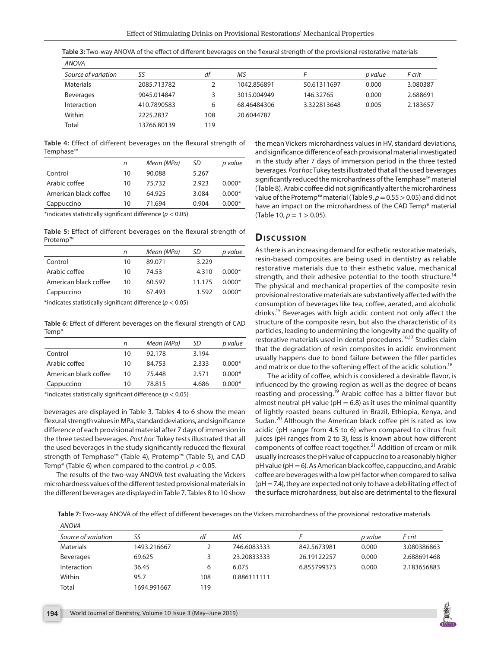| <b>ANOVA</b>        |             |     |             |             |         |          |
|---------------------|-------------|-----|-------------|-------------|---------|----------|
| Source of variation | SS          | df  | ΜS          |             | p value | F crit   |
| Materials           | 2085.713782 |     | 1042.856891 | 50.61311697 | 0.000   | 3.080387 |
| <b>Beverages</b>    | 9045.014847 | 3   | 3015.004949 | 146.32765   | 0.000   | 2.688691 |
| Interaction         | 410.7890583 | 6   | 68.46484306 | 3.322813648 | 0.005   | 2.183657 |
| Within              | 2225.2837   | 108 | 20.6044787  |             |         |          |
| Total               | 13766.80139 | 119 |             |             |         |          |

**Table 3:** Two-way ANOVA of the effect of different beverages on the flexural strength of the provisional restorative materials

**Table 4:** Effect of different beverages on the flexural strength of Temphase™

|                       | n  | Mean (MPa) | SD    | p value  |
|-----------------------|----|------------|-------|----------|
| Control               | 10 | 90.088     | 5.267 |          |
| Arabic coffee         | 10 | 75.732     | 2.923 | $0.000*$ |
| American black coffee | 10 | 64.925     | 3.084 | $0.000*$ |
| Cappuccino            | 10 | 71.694     | 0.904 | $0.000*$ |
|                       |    |            |       |          |

\*indicates statistically significant difference (*p* < 0.05)

**Table 5:** Effect of different beverages on the flexural strength of Protemp™

|                       | n  | Mean (MPa) | SD     | p value  |
|-----------------------|----|------------|--------|----------|
| Control               | 10 | 89.071     | 3.229  |          |
| Arabic coffee         | 10 | 74.53      | 4.310  | $0.000*$ |
| American black coffee | 10 | 60.597     | 11.175 | $0.000*$ |
| Cappuccino            | 10 | 67.493     | 1.592  | $0.000*$ |
|                       |    |            |        |          |

\*indicates statistically significant difference (*p* < 0.05)

**Table 6:** Effect of different beverages on the flexural strength of CAD Temp®

|                       | n  | Mean (MPa) | SD    | p value  |
|-----------------------|----|------------|-------|----------|
| Control               | 10 | 92.178     | 3.194 |          |
| Arabic coffee         | 10 | 84.753     | 2.333 | $0.000*$ |
| American black coffee | 10 | 75.448     | 2.571 | $0.000*$ |
| Cappuccino            | 10 | 78.815     | 4.686 | $0.000*$ |

\*indicates statistically significant difference (*p* < 0.05)

beverages are displayed in Table 3. Tables 4 to 6 show the mean flexural strength values in MPa, standard deviations, and significance difference of each provisional material after 7 days of immersion in the three tested beverages. *Post hoc* Tukey tests illustrated that all the used beverages in the study significantly reduced the flexural strength of Temphase™ (Table 4), Protemp™ (Table 5), and CAD Temp® (Table 6) when compared to the control. *p* < 0.05.

The results of the two-way ANOVA test evaluating the Vickers microhardness values of the different tested provisional materials in the different beverages are displayed in Table 7. Tables 8 to 10 show the mean Vickers microhardness values in HV, standard deviations, and significance difference of each provisional material investigated in the study after 7 days of immersion period in the three tested beverages. *Post hoc* Tukey tests illustrated that all the used beverages significantly reduced the microhardness of the Temphase™ material (Table 8). Arabic coffee did not significantly alter the microhardness value of the Protemp™ material (Table  $9, p = 0.55 > 0.05$ ) and did not have an impact on the microhardness of the CAD Temp® material (Table 10,  $p = 1 > 0.05$ ).

## **Dis c u s sio n**

As there is an increasing demand for esthetic restorative materials, resin-based composites are being used in dentistry as reliable restorative materials due to their esthetic value, mechanical strength, and their adhesive potential to the tooth structure.<sup>14</sup> The physical and mechanical properties of the composite resin provisional restorative materials are substantively affected with the consumption of beverages like tea, coffee, aerated, and alcoholic drinks.<sup>15</sup> Beverages with high acidic content not only affect the structure of the composite resin, but also the characteristic of its particles, leading to undermining the longevity and the quality of restorative materials used in dental procedures.<sup>16,17</sup> Studies claim that the degradation of resin composites in acidic environment usually happens due to bond failure between the filler particles and matrix or due to the softening effect of the acidic solution.<sup>18</sup>

The acidity of coffee, which is considered a desirable flavor, is influenced by the growing region as well as the degree of beans roasting and processing.<sup>19</sup> Arabic coffee has a bitter flavor but almost neutral pH value ( $pH = 6.8$ ) as it uses the minimal quantity of lightly roasted beans cultured in Brazil, Ethiopia, Kenya, and Sudan.<sup>20</sup> Although the American black coffee pH is rated as low acidic (pH range from 4.5 to 6) when compared to citrus fruit juices (pH ranges from 2 to 3), less is known about how different components of coffee react together.<sup>21</sup> Addition of cream or milk usually increases the pH value of cappuccino to a reasonably higher  $pH$  value ( $pH = 6$ ). As American black coffee, cappuccino, and Arabic coffee are beverages with a low pH factor when compared to saliva  $(pH = 7.4)$ , they are expected not only to have a debilitating effect of the surface microhardness, but also are detrimental to the flexural

**Table 7:** Two-way ANOVA of the effect of different beverages on the Vickers microhardness of the provisional restorative materials

| <b>ANOVA</b>        |             |     |             |             |         |             |  |
|---------------------|-------------|-----|-------------|-------------|---------|-------------|--|
| Source of variation | SS          | df  | MS          |             | p value | F crit      |  |
| <b>Materials</b>    | 1493.216667 |     | 746.6083333 | 842.5673981 | 0.000   | 3.080386863 |  |
| <b>Beverages</b>    | 69.625      |     | 23.20833333 | 26.19122257 | 0.000   | 2.688691468 |  |
| Interaction         | 36.45       | 6   | 6.075       | 6.855799373 | 0.000   | 2.183656883 |  |
| Within              | 95.7        | 108 | 0.886111111 |             |         |             |  |
| Total               | 1694.991667 | 119 |             |             |         |             |  |

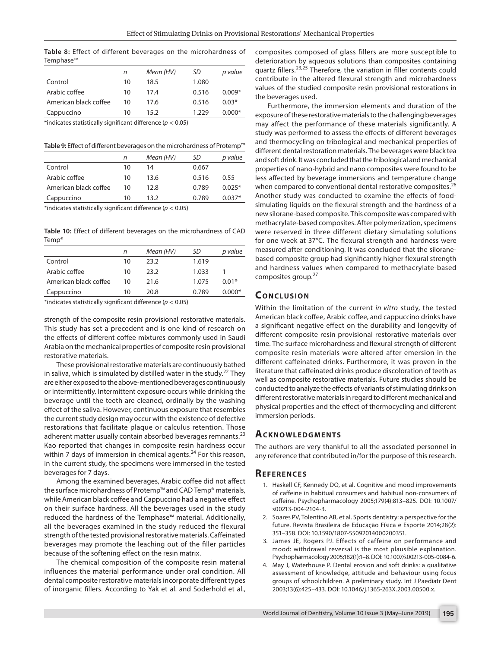**Table 8:** Effect of different beverages on the microhardness of Temphase™

|                       | n  | Mean (HV) | SD    | p value  |
|-----------------------|----|-----------|-------|----------|
| Control               | 10 | 18.5      | 1.080 |          |
| Arabic coffee         | 10 | 17.4      | 0.516 | $0.009*$ |
| American black coffee | 10 | 17.6      | 0.516 | $0.03*$  |
| Cappuccino            | 10 | 15 2      | 1 229 | $0.000*$ |

\*indicates statistically significant difference (*p* < 0.05)

**Table 9:** Effect of different beverages on the microhardness of Protemp™

|                       | n  | Mean (HV) | SD    | p value  |
|-----------------------|----|-----------|-------|----------|
| Control               | 10 | 14        | 0.667 |          |
| Arabic coffee         | 10 | 13.6      | 0.516 | 0.55     |
| American black coffee | 10 | 12.8      | 0.789 | $0.025*$ |
| Cappuccino            | 10 | 13 2      | 0.789 | $0.037*$ |
|                       |    |           |       |          |

\*indicates statistically significant difference (*p* < 0.05)

**Table 10:** Effect of different beverages on the microhardness of CAD Temp®

|                       | n  | Mean (HV) | SD    | p value  |
|-----------------------|----|-----------|-------|----------|
| Control               | 10 | 23.2      | 1.619 |          |
| Arabic coffee         | 10 | 23.2      | 1.033 |          |
| American black coffee | 10 | 21.6      | 1.075 | $0.01*$  |
| Cappuccino            | 10 | 20 S      | 0.789 | $0.000*$ |

\*indicates statistically significant difference (*p* < 0.05)

strength of the composite resin provisional restorative materials. This study has set a precedent and is one kind of research on the effects of different coffee mixtures commonly used in Saudi Arabia on the mechanical properties of composite resin provisional restorative materials.

These provisional restorative materials are continuously bathed in saliva, which is simulated by distilled water in the study. $22$  They are either exposed to the above-mentioned beverages continuously or intermittently. Intermittent exposure occurs while drinking the beverage until the teeth are cleaned, ordinally by the washing effect of the saliva. However, continuous exposure that resembles the current study design may occur with the existence of defective restorations that facilitate plaque or calculus retention. Those adherent matter usually contain absorbed beverages remnants.<sup>23</sup> Kao reported that changes in composite resin hardness occur within 7 days of immersion in chemical agents. $^{24}$  For this reason, in the current study, the specimens were immersed in the tested beverages for 7 days.

Among the examined beverages, Arabic coffee did not affect the surface microhardness of Protemp™ and CAD Temp® materials, while American black coffee and Cappuccino had a negative effect on their surface hardness. All the beverages used in the study reduced the hardness of the Temphase™ material. Additionally, all the beverages examined in the study reduced the flexural strength of the tested provisional restorative materials. Caffeinated beverages may promote the leaching out of the filler particles because of the softening effect on the resin matrix.

The chemical composition of the composite resin material influences the material performance under oral condition. All dental composite restorative materials incorporate different types of inorganic fillers. According to Yak et al. and Soderhold et al., composites composed of glass fillers are more susceptible to deterioration by aqueous solutions than composites containing quartz fillers.<sup>23,25</sup> Therefore, the variation in filler contents could contribute in the altered flexural strength and microhardness values of the studied composite resin provisional restorations in the beverages used.

Furthermore, the immersion elements and duration of the exposure of these restorative materials to the challenging beverages may affect the performance of these materials significantly. A study was performed to assess the effects of different beverages and thermocycling on tribological and mechanical properties of different dental restoration materials. The beverages were black tea and soft drink. It was concluded that the tribological and mechanical properties of nano-hybrid and nano composites were found to be less affected by beverage immersions and temperature change when compared to conventional dental restorative composites.<sup>26</sup> Another study was conducted to examine the effects of foodsimulating liquids on the flexural strength and the hardness of a new silorane-based composite. This composite was compared with methacrylate-based composites. After polymerization, specimens were reserved in three different dietary simulating solutions for one week at 37°C. The flexural strength and hardness were measured after conditioning. It was concluded that the siloranebased composite group had significantly higher flexural strength and hardness values when compared to methacrylate-based composites group.<sup>27</sup>

# **CONCLUSION**

Within the limitation of the current *in vitro* study, the tested American black coffee, Arabic coffee, and cappuccino drinks have a significant negative effect on the durability and longevity of different composite resin provisional restorative materials over time. The surface microhardness and flexural strength of different composite resin materials were altered after emersion in the different caffeinated drinks. Furthermore, it was proven in the literature that caffeinated drinks produce discoloration of teeth as well as composite restorative materials. Future studies should be conducted to analyze the effects of variants of stimulating drinks on different restorative materials in regard to different mechanical and physical properties and the effect of thermocycling and different immersion periods.

#### **Ac k n ow l e d gme n ts**

The authors are very thankful to all the associated personnel in any reference that contributed in/for the purpose of this research.

#### **Re f e r e n c e s**

- 1. Haskell CF, Kennedy DO, et al. Cognitive and mood improvements of caffeine in habitual consumers and habitual non-consumers of caffeine. Psychopharmacology 2005;179(4):813–825. DOI: 10.1007/ s00213-004-2104-3.
- 2. Soares PV, Tolentino AB, et al. Sports dentistry: a perspective for the future. Revista Brasileira de Educação Física e Esporte 2014;28(2): 351–358. DOI: 10.1590/1807-55092014000200351.
- 3. James JE, Rogers PJ. Effects of caffeine on performance and mood: withdrawal reversal is the most plausible explanation. Psychopharmacology 2005;182(1):1–8. DOI: 10.1007/s00213-005-0084-6.
- 4. May J, Waterhouse P. Dental erosion and soft drinks: a qualitative assessment of knowledge, attitude and behaviour using focus groups of schoolchildren. A preliminary study. Int J Paediatr Dent 2003;13(6):425–433. DOI: 10.1046/j.1365-263X.2003.00500.x.